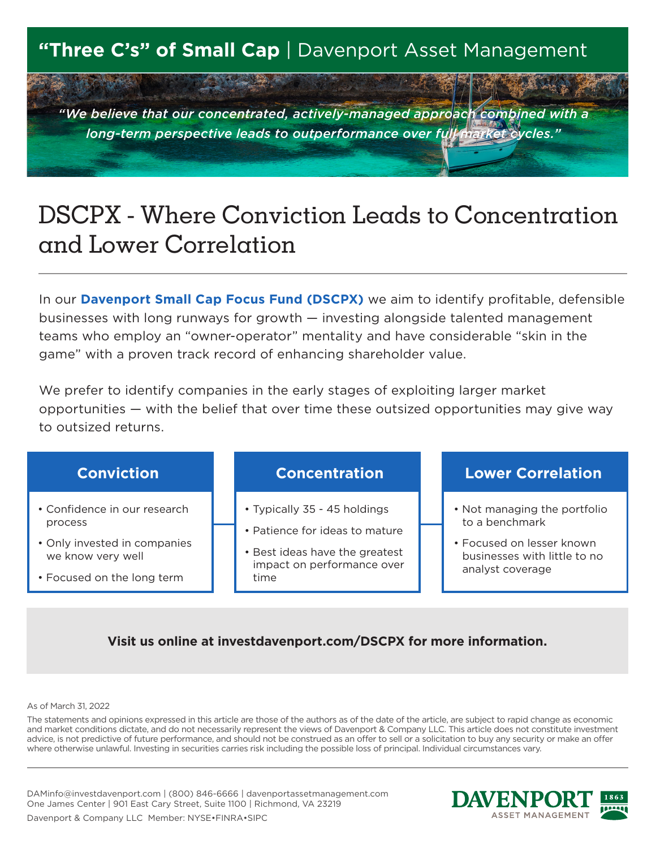## **"Three C's" of Small Cap** | Davenport Asset Management

7 1 3 4 4

*"We believe that our concentrated, actively-managed approach combined with a long-term perspective leads to outperformance over full market cycles."*

# DSCPX - Where Conviction Leads to Concentration and Lower Correlation

In our **Davenport Small Cap Focus Fund (DSCPX)** we aim to identify profitable, defensible businesses with long runways for growth — investing alongside talented management teams who employ an "owner-operator" mentality and have considerable "skin in the game" with a proven track record of enhancing shareholder value.

We prefer to identify companies in the early stages of exploiting larger market opportunities — with the belief that over time these outsized opportunities may give way to outsized returns.



### **Visit us online at investdavenport.com/DSCPX for more information.**

As of March 31, 2022

The statements and opinions expressed in this article are those of the authors as of the date of the article, are subject to rapid change as economic and market conditions dictate, and do not necessarily represent the views of Davenport & Company LLC. This article does not constitute investment advice, is not predictive of future performance, and should not be construed as an offer to sell or a solicitation to buy any security or make an offer where otherwise unlawful. Investing in securities carries risk including the possible loss of principal. Individual circumstances vary.

DAMinfo@investdavenport.com | (800) 846-6666 | davenportassetmanagement.com One James Center | 901 East Cary Street, Suite 1100 | Richmond, VA 23219